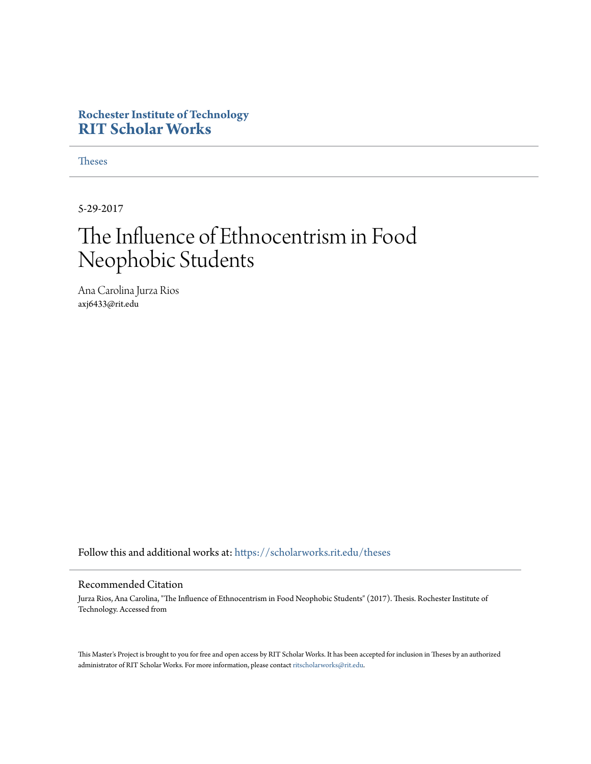# **Rochester Institute of Technology [RIT Scholar Works](https://scholarworks.rit.edu?utm_source=scholarworks.rit.edu%2Ftheses%2F10031&utm_medium=PDF&utm_campaign=PDFCoverPages)**

[Theses](https://scholarworks.rit.edu/theses?utm_source=scholarworks.rit.edu%2Ftheses%2F10031&utm_medium=PDF&utm_campaign=PDFCoverPages)

5-29-2017

# The Influence of Ethnocentrism in Food Neophobic Students

Ana Carolina Jurza Rios axj6433@rit.edu

Follow this and additional works at: [https://scholarworks.rit.edu/theses](https://scholarworks.rit.edu/theses?utm_source=scholarworks.rit.edu%2Ftheses%2F10031&utm_medium=PDF&utm_campaign=PDFCoverPages)

# Recommended Citation

Jurza Rios, Ana Carolina, "The Influence of Ethnocentrism in Food Neophobic Students" (2017). Thesis. Rochester Institute of Technology. Accessed from

This Master's Project is brought to you for free and open access by RIT Scholar Works. It has been accepted for inclusion in Theses by an authorized administrator of RIT Scholar Works. For more information, please contact [ritscholarworks@rit.edu.](mailto:ritscholarworks@rit.edu)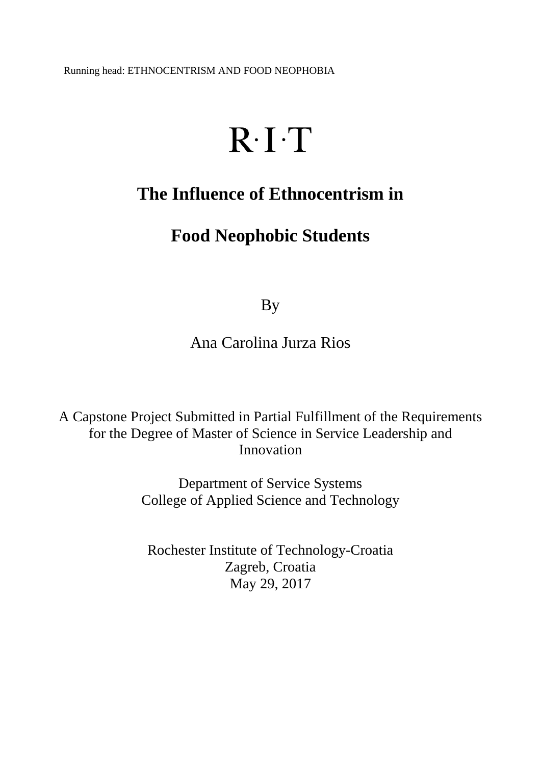Running head: ETHNOCENTRISM AND FOOD NEOPHOBIA

# $R \cdot I \cdot T$

# **The Influence of Ethnocentrism in**

# **Food Neophobic Students**

By

Ana Carolina Jurza Rios

A Capstone Project Submitted in Partial Fulfillment of the Requirements for the Degree of Master of Science in Service Leadership and Innovation

> Department of Service Systems College of Applied Science and Technology

Rochester Institute of Technology-Croatia Zagreb, Croatia May 29, 2017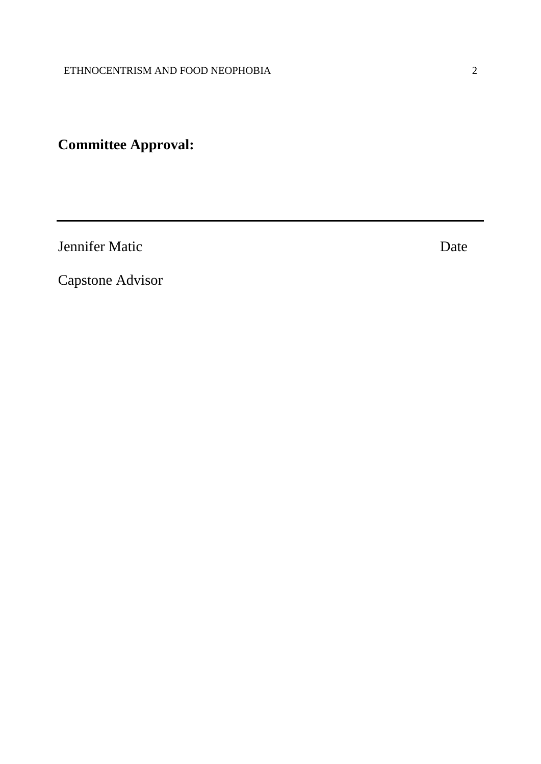# **Committee Approval:**

Jennifer Matic Date

Capstone Advisor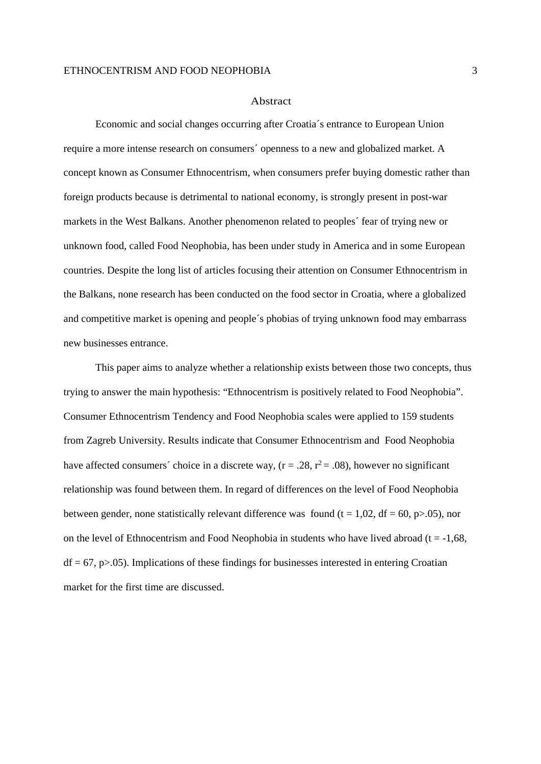#### Abstract

Economic and social changes occurring after Croatia´s entrance to European Union require a more intense research on consumers´ openness to a new and globalized market. A concept known as Consumer Ethnocentrism, when consumers prefer buying domestic rather than foreign products because is detrimental to national economy, is strongly present in post-war markets in the West Balkans. Another phenomenon related to peoples´ fear of trying new or unknown food, called Food Neophobia, has been under study in America and in some European countries. Despite the long list of articles focusing their attention on Consumer Ethnocentrism in the Balkans, none research has been conducted on the food sector in Croatia, where a globalized and competitive market is opening and people´s phobias of trying unknown food may embarrass new businesses entrance.

This paper aims to analyze whether a relationship exists between those two concepts, thus trying to answer the main hypothesis: "Ethnocentrism is positively related to Food Neophobia". Consumer Ethnocentrism Tendency and Food Neophobia scales were applied to 159 students from Zagreb University. Results indicate that Consumer Ethnocentrism and Food Neophobia have affected consumers' choice in a discrete way,  $(r = .28, r^2 = .08)$ , however no significant relationship was found between them. In regard of differences on the level of Food Neophobia between gender, none statistically relevant difference was found ( $t = 1.02$ ,  $df = 60$ ,  $p > .05$ ), nor on the level of Ethnocentrism and Food Neophobia in students who have lived abroad ( $t = -1.68$ ,  $df = 67$ ,  $p > .05$ ). Implications of these findings for businesses interested in entering Croatian market for the first time are discussed.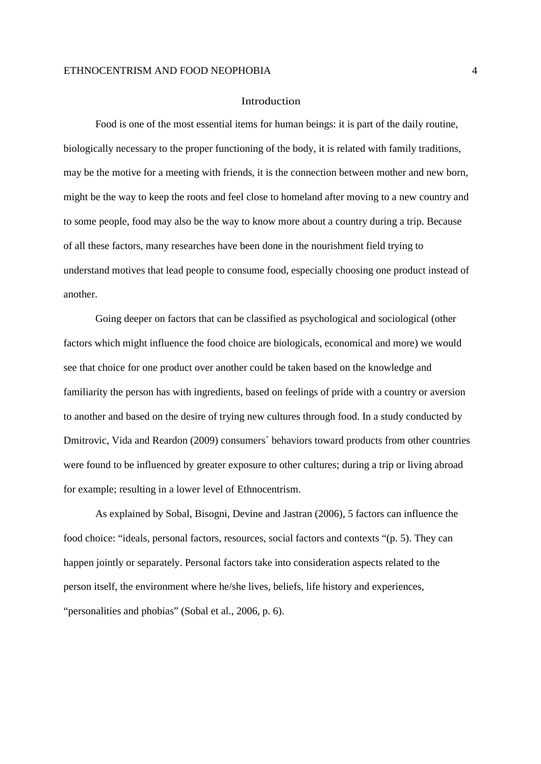#### Introduction

Food is one of the most essential items for human beings: it is part of the daily routine, biologically necessary to the proper functioning of the body, it is related with family traditions, may be the motive for a meeting with friends, it is the connection between mother and new born, might be the way to keep the roots and feel close to homeland after moving to a new country and to some people, food may also be the way to know more about a country during a trip. Because of all these factors, many researches have been done in the nourishment field trying to understand motives that lead people to consume food, especially choosing one product instead of another.

Going deeper on factors that can be classified as psychological and sociological (other factors which might influence the food choice are biologicals, economical and more) we would see that choice for one product over another could be taken based on the knowledge and familiarity the person has with ingredients, based on feelings of pride with a country or aversion to another and based on the desire of trying new cultures through food. In a study conducted by Dmitrovic, Vida and Reardon (2009) consumers´ behaviors toward products from other countries were found to be influenced by greater exposure to other cultures; during a trip or living abroad for example; resulting in a lower level of Ethnocentrism.

As explained by Sobal, Bisogni, Devine and Jastran (2006), 5 factors can influence the food choice: "ideals, personal factors, resources, social factors and contexts "(p. 5). They can happen jointly or separately. Personal factors take into consideration aspects related to the person itself, the environment where he/she lives, beliefs, life history and experiences, "personalities and phobias" (Sobal et al., 2006, p. 6).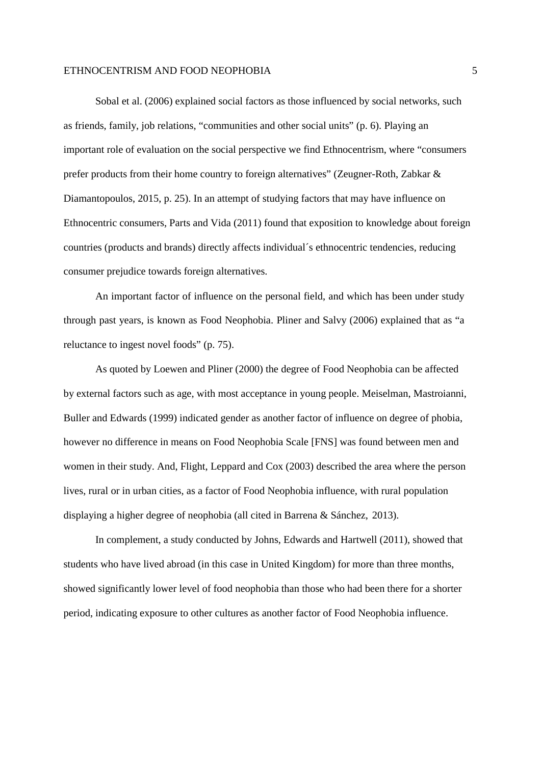Sobal et al. (2006) explained social factors as those influenced by social networks, such as friends, family, job relations, "communities and other social units" (p. 6). Playing an important role of evaluation on the social perspective we find Ethnocentrism, where "consumers prefer products from their home country to foreign alternatives" (Zeugner-Roth, Zabkar & Diamantopoulos, 2015, p. 25). In an attempt of studying factors that may have influence on Ethnocentric consumers, Parts and Vida (2011) found that exposition to knowledge about foreign countries (products and brands) directly affects individual´s ethnocentric tendencies, reducing consumer prejudice towards foreign alternatives.

An important factor of influence on the personal field, and which has been under study through past years, is known as Food Neophobia. Pliner and Salvy (2006) explained that as "a reluctance to ingest novel foods" (p. 75).

As quoted by Loewen and Pliner (2000) the degree of Food Neophobia can be affected by external factors such as age, with most acceptance in young people. Meiselman, Mastroianni, Buller and Edwards (1999) indicated gender as another factor of influence on degree of phobia, however no difference in means on Food Neophobia Scale [FNS] was found between men and women in their study. And, Flight, Leppard and Cox (2003) described the area where the person lives, rural or in urban cities, as a factor of Food Neophobia influence, with rural population displaying a higher degree of neophobia (all cited in Barrena & Sánchez, 2013).

In complement, a study conducted by Johns, Edwards and Hartwell (2011), showed that students who have lived abroad (in this case in United Kingdom) for more than three months, showed significantly lower level of food neophobia than those who had been there for a shorter period, indicating exposure to other cultures as another factor of Food Neophobia influence.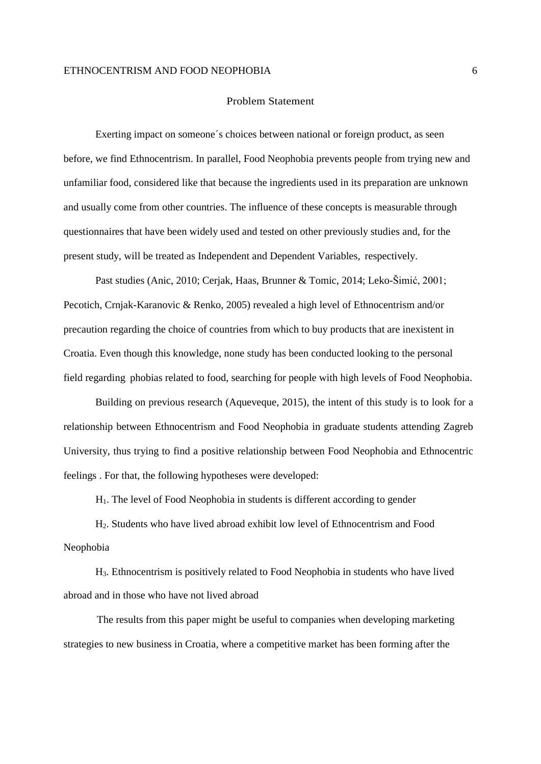#### Problem Statement

Exerting impact on someone´s choices between national or foreign product, as seen before, we find Ethnocentrism. In parallel, Food Neophobia prevents people from trying new and unfamiliar food, considered like that because the ingredients used in its preparation are unknown and usually come from other countries. The influence of these concepts is measurable through questionnaires that have been widely used and tested on other previously studies and, for the present study, will be treated as Independent and Dependent Variables, respectively.

Past studies (Anic, 2010; Cerjak, Haas, Brunner & Tomic, 2014; Leko-Šimić, 2001; Pecotich, Crnjak-Karanovic & Renko, 2005) revealed a high level of Ethnocentrism and/or precaution regarding the choice of countries from which to buy products that are inexistent in Croatia. Even though this knowledge, none study has been conducted looking to the personal field regarding phobias related to food, searching for people with high levels of Food Neophobia.

Building on previous research (Aqueveque, 2015), the intent of this study is to look for a relationship between Ethnocentrism and Food Neophobia in graduate students attending Zagreb University, thus trying to find a positive relationship between Food Neophobia and Ethnocentric feelings . For that, the following hypotheses were developed:

H1. The level of Food Neophobia in students is different according to gender

H2. Students who have lived abroad exhibit low level of Ethnocentrism and Food Neophobia

H3. Ethnocentrism is positively related to Food Neophobia in students who have lived abroad and in those who have not lived abroad

The results from this paper might be useful to companies when developing marketing strategies to new business in Croatia, where a competitive market has been forming after the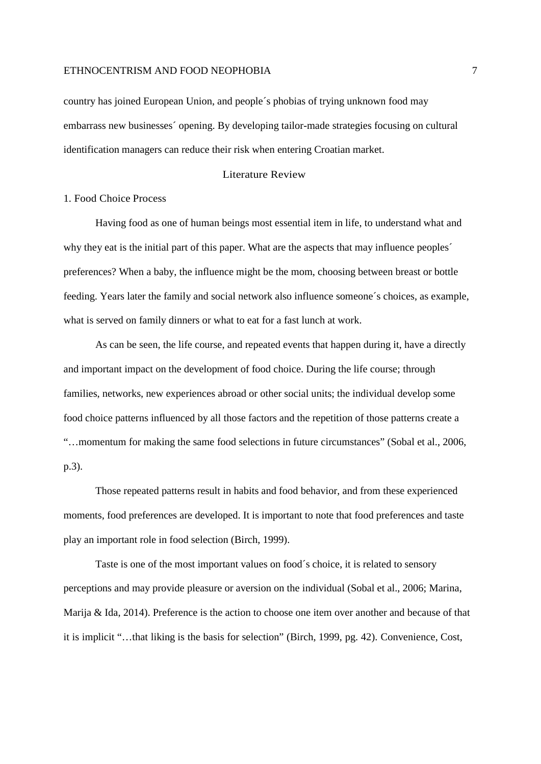country has joined European Union, and people´s phobias of trying unknown food may embarrass new businesses´ opening. By developing tailor-made strategies focusing on cultural identification managers can reduce their risk when entering Croatian market.

# Literature Review

# 1. Food Choice Process

Having food as one of human beings most essential item in life, to understand what and why they eat is the initial part of this paper. What are the aspects that may influence peoples´ preferences? When a baby, the influence might be the mom, choosing between breast or bottle feeding. Years later the family and social network also influence someone´s choices, as example, what is served on family dinners or what to eat for a fast lunch at work.

As can be seen, the life course, and repeated events that happen during it, have a directly and important impact on the development of food choice. During the life course; through families, networks, new experiences abroad or other social units; the individual develop some food choice patterns influenced by all those factors and the repetition of those patterns create a "…momentum for making the same food selections in future circumstances" (Sobal et al., 2006, p.3).

Those repeated patterns result in habits and food behavior, and from these experienced moments, food preferences are developed. It is important to note that food preferences and taste play an important role in food selection (Birch, 1999).

Taste is one of the most important values on food´s choice, it is related to sensory perceptions and may provide pleasure or aversion on the individual (Sobal et al., 2006; Marina, Marija & Ida, 2014). Preference is the action to choose one item over another and because of that it is implicit "…that liking is the basis for selection" (Birch, 1999, pg. 42). Convenience, Cost,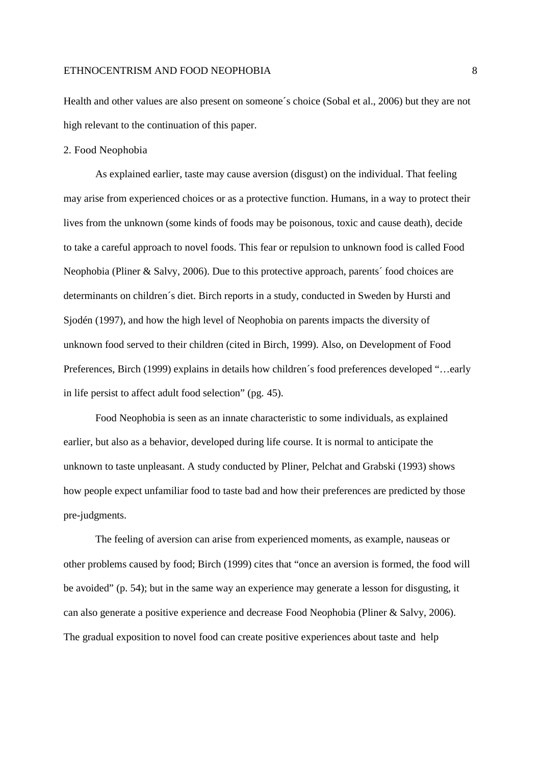Health and other values are also present on someone´s choice (Sobal et al., 2006) but they are not high relevant to the continuation of this paper.

# 2. Food Neophobia

As explained earlier, taste may cause aversion (disgust) on the individual. That feeling may arise from experienced choices or as a protective function. Humans, in a way to protect their lives from the unknown (some kinds of foods may be poisonous, toxic and cause death), decide to take a careful approach to novel foods. This fear or repulsion to unknown food is called Food Neophobia (Pliner & Salvy, 2006). Due to this protective approach, parents´ food choices are determinants on children´s diet. Birch reports in a study, conducted in Sweden by Hursti and Sjodén (1997), and how the high level of Neophobia on parents impacts the diversity of unknown food served to their children (cited in Birch, 1999). Also, on Development of Food Preferences, Birch (1999) explains in details how children´s food preferences developed "…early in life persist to affect adult food selection" (pg. 45).

Food Neophobia is seen as an innate characteristic to some individuals, as explained earlier, but also as a behavior, developed during life course. It is normal to anticipate the unknown to taste unpleasant. A study conducted by Pliner, Pelchat and Grabski (1993) shows how people expect unfamiliar food to taste bad and how their preferences are predicted by those pre-judgments.

The feeling of aversion can arise from experienced moments, as example, nauseas or other problems caused by food; Birch (1999) cites that "once an aversion is formed, the food will be avoided" (p. 54); but in the same way an experience may generate a lesson for disgusting, it can also generate a positive experience and decrease Food Neophobia (Pliner & Salvy, 2006). The gradual exposition to novel food can create positive experiences about taste and help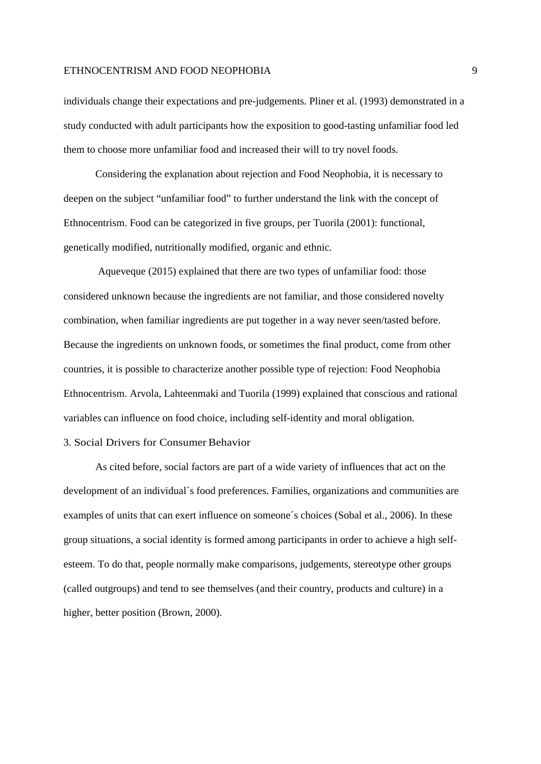individuals change their expectations and pre-judgements. Pliner et al. (1993) demonstrated in a study conducted with adult participants how the exposition to good-tasting unfamiliar food led them to choose more unfamiliar food and increased their will to try novel foods.

Considering the explanation about rejection and Food Neophobia, it is necessary to deepen on the subject "unfamiliar food" to further understand the link with the concept of Ethnocentrism. Food can be categorized in five groups, per Tuorila (2001): functional, genetically modified, nutritionally modified, organic and ethnic.

Aqueveque (2015) explained that there are two types of unfamiliar food: those considered unknown because the ingredients are not familiar, and those considered novelty combination, when familiar ingredients are put together in a way never seen/tasted before. Because the ingredients on unknown foods, or sometimes the final product, come from other countries, it is possible to characterize another possible type of rejection: Food Neophobia Ethnocentrism. Arvola, Lahteenmaki and Tuorila (1999) explained that conscious and rational variables can influence on food choice, including self-identity and moral obligation.

# 3. Social Drivers for Consumer Behavior

As cited before, social factors are part of a wide variety of influences that act on the development of an individual´s food preferences. Families, organizations and communities are examples of units that can exert influence on someone´s choices (Sobal et al., 2006). In these group situations, a social identity is formed among participants in order to achieve a high selfesteem. To do that, people normally make comparisons, judgements, stereotype other groups (called outgroups) and tend to see themselves (and their country, products and culture) in a higher, better position (Brown, 2000).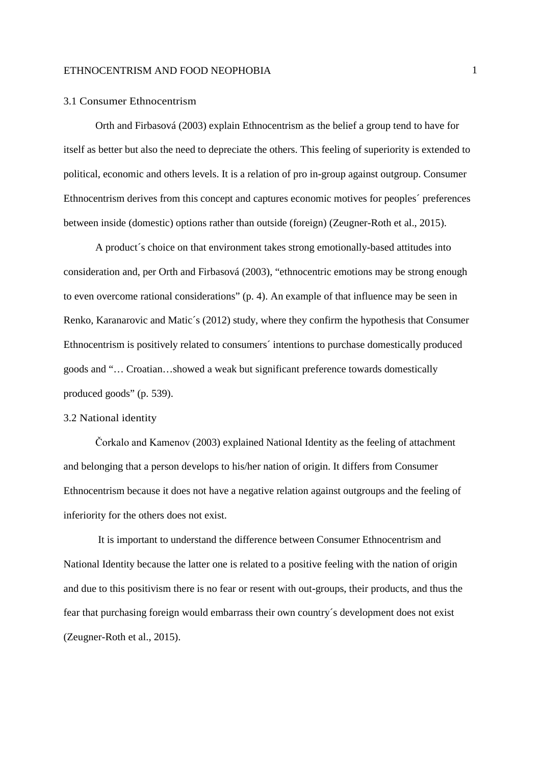#### 3.1 Consumer Ethnocentrism

Orth and Firbasová (2003) explain Ethnocentrism as the belief a group tend to have for itself as better but also the need to depreciate the others. This feeling of superiority is extended to political, economic and others levels. It is a relation of pro in-group against outgroup. Consumer Ethnocentrism derives from this concept and captures economic motives for peoples´ preferences between inside (domestic) options rather than outside (foreign) (Zeugner-Roth et al., 2015).

A product´s choice on that environment takes strong emotionally-based attitudes into consideration and, per Orth and Firbasová (2003), "ethnocentric emotions may be strong enough to even overcome rational considerations" (p. 4). An example of that influence may be seen in Renko, Karanarovic and Matic´s (2012) study, where they confirm the hypothesis that Consumer Ethnocentrism is positively related to consumers´ intentions to purchase domestically produced goods and "… Croatian…showed a weak but significant preference towards domestically produced goods" (p. 539).

# 3.2 National identity

Čorkalo and Kamenov (2003) explained National Identity as the feeling of attachment and belonging that a person develops to his/her nation of origin. It differs from Consumer Ethnocentrism because it does not have a negative relation against outgroups and the feeling of inferiority for the others does not exist.

It is important to understand the difference between Consumer Ethnocentrism and National Identity because the latter one is related to a positive feeling with the nation of origin and due to this positivism there is no fear or resent with out-groups, their products, and thus the fear that purchasing foreign would embarrass their own country´s development does not exist (Zeugner-Roth et al., 2015).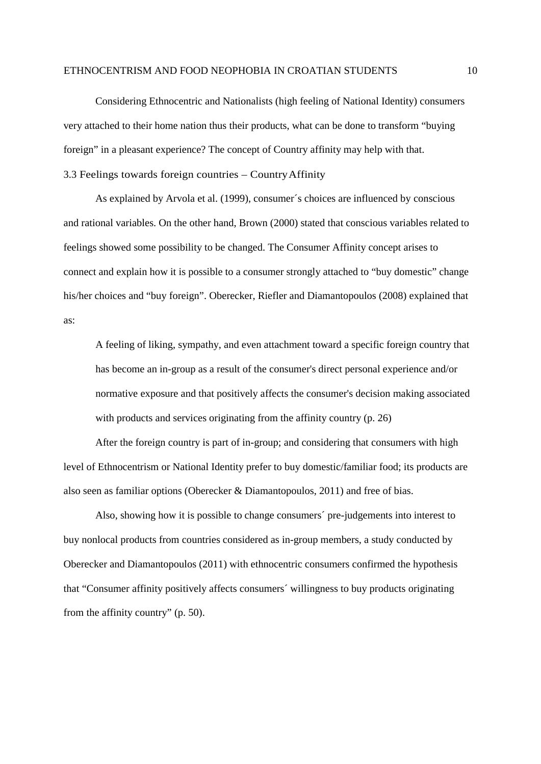Considering Ethnocentric and Nationalists (high feeling of National Identity) consumers very attached to their home nation thus their products, what can be done to transform "buying foreign" in a pleasant experience? The concept of Country affinity may help with that. 3.3 Feelings towards foreign countries – CountryAffinity

As explained by Arvola et al. (1999), consumer´s choices are influenced by conscious and rational variables. On the other hand, Brown (2000) stated that conscious variables related to feelings showed some possibility to be changed. The Consumer Affinity concept arises to connect and explain how it is possible to a consumer strongly attached to "buy domestic" change his/her choices and "buy foreign". Oberecker, Riefler and Diamantopoulos (2008) explained that as:

A feeling of liking, sympathy, and even attachment toward a specific foreign country that has become an in-group as a result of the consumer's direct personal experience and/or normative exposure and that positively affects the consumer's decision making associated with products and services originating from the affinity country (p. 26)

After the foreign country is part of in-group; and considering that consumers with high level of Ethnocentrism or National Identity prefer to buy domestic/familiar food; its products are also seen as familiar options (Oberecker & Diamantopoulos, 2011) and free of bias.

Also, showing how it is possible to change consumers´ pre-judgements into interest to buy nonlocal products from countries considered as in-group members, a study conducted by Oberecker and Diamantopoulos (2011) with ethnocentric consumers confirmed the hypothesis that "Consumer affinity positively affects consumers´ willingness to buy products originating from the affinity country" (p. 50).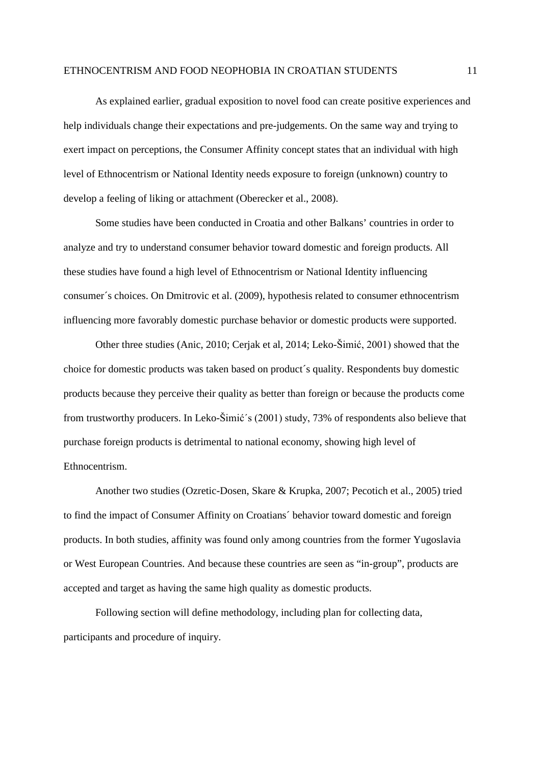As explained earlier, gradual exposition to novel food can create positive experiences and help individuals change their expectations and pre-judgements. On the same way and trying to exert impact on perceptions, the Consumer Affinity concept states that an individual with high level of Ethnocentrism or National Identity needs exposure to foreign (unknown) country to develop a feeling of liking or attachment (Oberecker et al., 2008).

Some studies have been conducted in Croatia and other Balkans' countries in order to analyze and try to understand consumer behavior toward domestic and foreign products. All these studies have found a high level of Ethnocentrism or National Identity influencing consumer´s choices. On Dmitrovic et al. (2009), hypothesis related to consumer ethnocentrism influencing more favorably domestic purchase behavior or domestic products were supported.

Other three studies (Anic, 2010; Cerjak et al, 2014; Leko-Šimić, 2001) showed that the choice for domestic products was taken based on product´s quality. Respondents buy domestic products because they perceive their quality as better than foreign or because the products come from trustworthy producers. In Leko-Šimić´s (2001) study, 73% of respondents also believe that purchase foreign products is detrimental to national economy, showing high level of Ethnocentrism.

Another two studies (Ozretic-Dosen, Skare & Krupka, 2007; Pecotich et al., 2005) tried to find the impact of Consumer Affinity on Croatians´ behavior toward domestic and foreign products. In both studies, affinity was found only among countries from the former Yugoslavia or West European Countries. And because these countries are seen as "in-group", products are accepted and target as having the same high quality as domestic products.

Following section will define methodology, including plan for collecting data, participants and procedure of inquiry.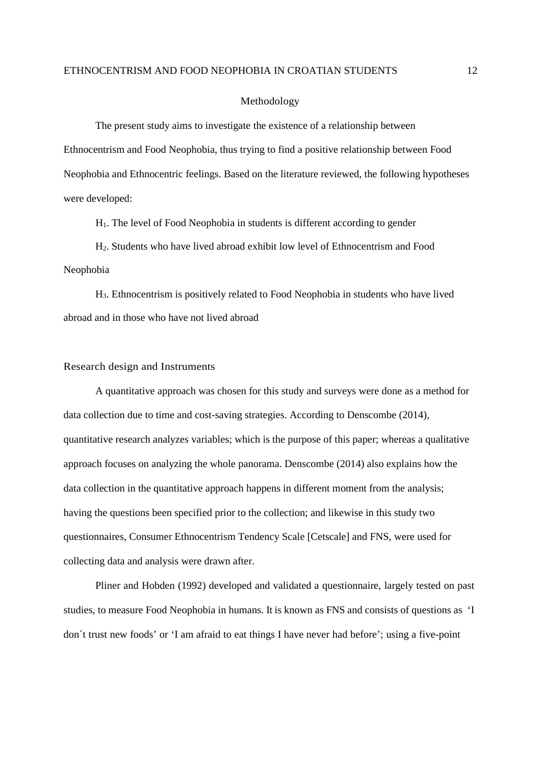#### Methodology

The present study aims to investigate the existence of a relationship between Ethnocentrism and Food Neophobia, thus trying to find a positive relationship between Food Neophobia and Ethnocentric feelings. Based on the literature reviewed, the following hypotheses were developed:

H1. The level of Food Neophobia in students is different according to gender

H2. Students who have lived abroad exhibit low level of Ethnocentrism and Food Neophobia

H3. Ethnocentrism is positively related to Food Neophobia in students who have lived abroad and in those who have not lived abroad

#### Research design and Instruments

A quantitative approach was chosen for this study and surveys were done as a method for data collection due to time and cost-saving strategies. According to Denscombe (2014), quantitative research analyzes variables; which is the purpose of this paper; whereas a qualitative approach focuses on analyzing the whole panorama. Denscombe (2014) also explains how the data collection in the quantitative approach happens in different moment from the analysis; having the questions been specified prior to the collection; and likewise in this study two questionnaires, Consumer Ethnocentrism Tendency Scale [Cetscale] and FNS, were used for collecting data and analysis were drawn after.

Pliner and Hobden (1992) developed and validated a questionnaire, largely tested on past studies, to measure Food Neophobia in humans. It is known as FNS and consists of questions as 'I don´t trust new foods' or 'I am afraid to eat things I have never had before'; using a five-point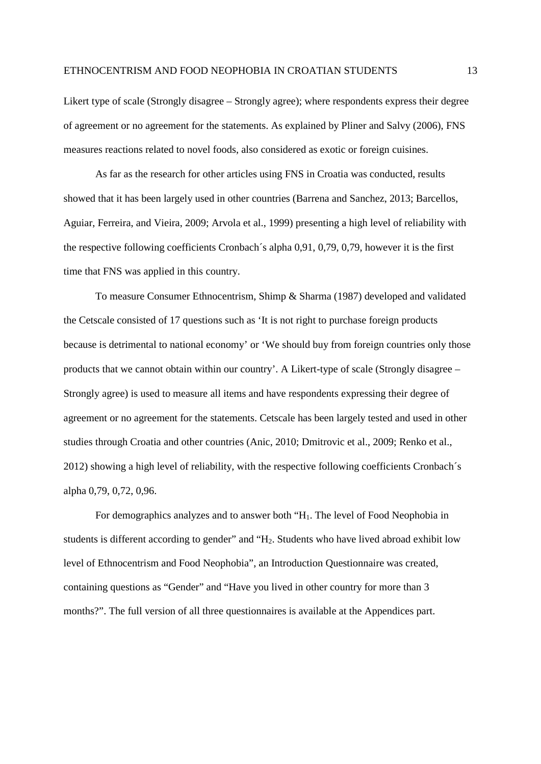Likert type of scale (Strongly disagree – Strongly agree); where respondents express their degree of agreement or no agreement for the statements. As explained by Pliner and Salvy (2006), FNS measures reactions related to novel foods, also considered as exotic or foreign cuisines.

As far as the research for other articles using FNS in Croatia was conducted, results showed that it has been largely used in other countries (Barrena and Sanchez, 2013; Barcellos, Aguiar, Ferreira, and Vieira, 2009; Arvola et al., 1999) presenting a high level of reliability with the respective following coefficients Cronbach´s alpha 0,91, 0,79, 0,79, however it is the first time that FNS was applied in this country.

To measure Consumer Ethnocentrism, Shimp & Sharma (1987) developed and validated the Cetscale consisted of 17 questions such as 'It is not right to purchase foreign products because is detrimental to national economy' or 'We should buy from foreign countries only those products that we cannot obtain within our country'. A Likert-type of scale (Strongly disagree – Strongly agree) is used to measure all items and have respondents expressing their degree of agreement or no agreement for the statements. Cetscale has been largely tested and used in other studies through Croatia and other countries (Anic, 2010; Dmitrovic et al., 2009; Renko et al., 2012) showing a high level of reliability, with the respective following coefficients Cronbach´s alpha 0,79, 0,72, 0,96.

For demographics analyzes and to answer both "H1. The level of Food Neophobia in students is different according to gender" and "H<sub>2</sub>. Students who have lived abroad exhibit low level of Ethnocentrism and Food Neophobia", an Introduction Questionnaire was created, containing questions as "Gender" and "Have you lived in other country for more than 3 months?". The full version of all three questionnaires is available at the Appendices part.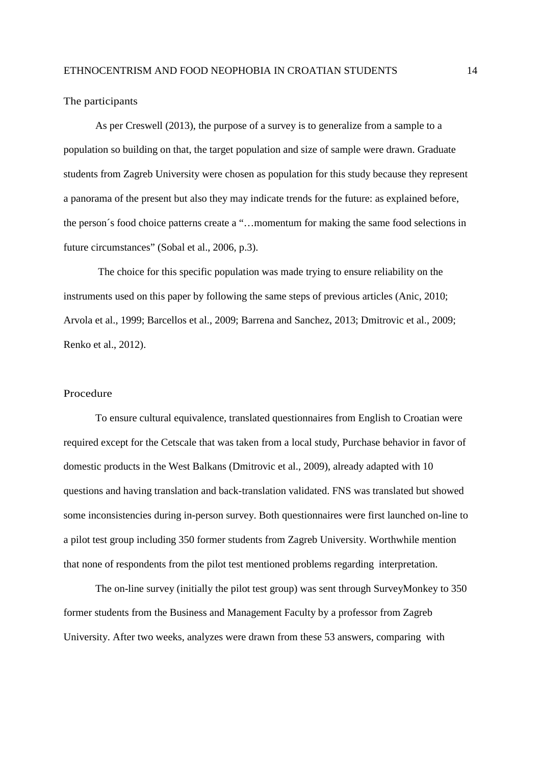The participants

As per Creswell (2013), the purpose of a survey is to generalize from a sample to a population so building on that, the target population and size of sample were drawn. Graduate students from Zagreb University were chosen as population for this study because they represent a panorama of the present but also they may indicate trends for the future: as explained before, the person´s food choice patterns create a "…momentum for making the same food selections in future circumstances" (Sobal et al., 2006, p.3).

The choice for this specific population was made trying to ensure reliability on the instruments used on this paper by following the same steps of previous articles (Anic, 2010; Arvola et al., 1999; Barcellos et al., 2009; Barrena and Sanchez, 2013; Dmitrovic et al., 2009; Renko et al., 2012).

# Procedure

To ensure cultural equivalence, translated questionnaires from English to Croatian were required except for the Cetscale that was taken from a local study, Purchase behavior in favor of domestic products in the West Balkans (Dmitrovic et al., 2009), already adapted with 10 questions and having translation and back-translation validated. FNS was translated but showed some inconsistencies during in-person survey. Both questionnaires were first launched on-line to a pilot test group including 350 former students from Zagreb University. Worthwhile mention that none of respondents from the pilot test mentioned problems regarding interpretation.

The on-line survey (initially the pilot test group) was sent through SurveyMonkey to 350 former students from the Business and Management Faculty by a professor from Zagreb University. After two weeks, analyzes were drawn from these 53 answers, comparing with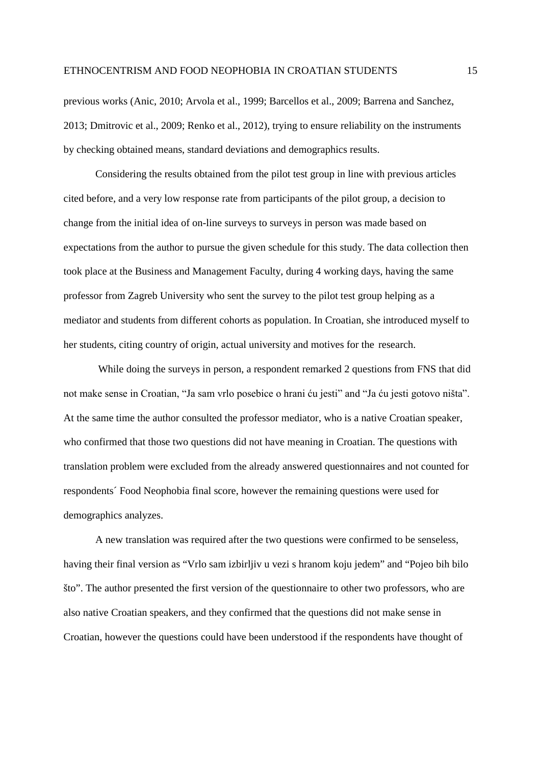previous works (Anic, 2010; Arvola et al., 1999; Barcellos et al., 2009; Barrena and Sanchez, 2013; Dmitrovic et al., 2009; Renko et al., 2012), trying to ensure reliability on the instruments by checking obtained means, standard deviations and demographics results.

Considering the results obtained from the pilot test group in line with previous articles cited before, and a very low response rate from participants of the pilot group, a decision to change from the initial idea of on-line surveys to surveys in person was made based on expectations from the author to pursue the given schedule for this study. The data collection then took place at the Business and Management Faculty, during 4 working days, having the same professor from Zagreb University who sent the survey to the pilot test group helping as a mediator and students from different cohorts as population. In Croatian, she introduced myself to her students, citing country of origin, actual university and motives for the research.

While doing the surveys in person, a respondent remarked 2 questions from FNS that did not make sense in Croatian, "Ja sam vrlo posebice o hrani ću jesti" and "Ja ću jesti gotovo ništa". At the same time the author consulted the professor mediator, who is a native Croatian speaker, who confirmed that those two questions did not have meaning in Croatian. The questions with translation problem were excluded from the already answered questionnaires and not counted for respondents´ Food Neophobia final score, however the remaining questions were used for demographics analyzes.

A new translation was required after the two questions were confirmed to be senseless, having their final version as "Vrlo sam izbirljiv u vezi s hranom koju jedem" and "Pojeo bih bilo što". The author presented the first version of the questionnaire to other two professors, who are also native Croatian speakers, and they confirmed that the questions did not make sense in Croatian, however the questions could have been understood if the respondents have thought of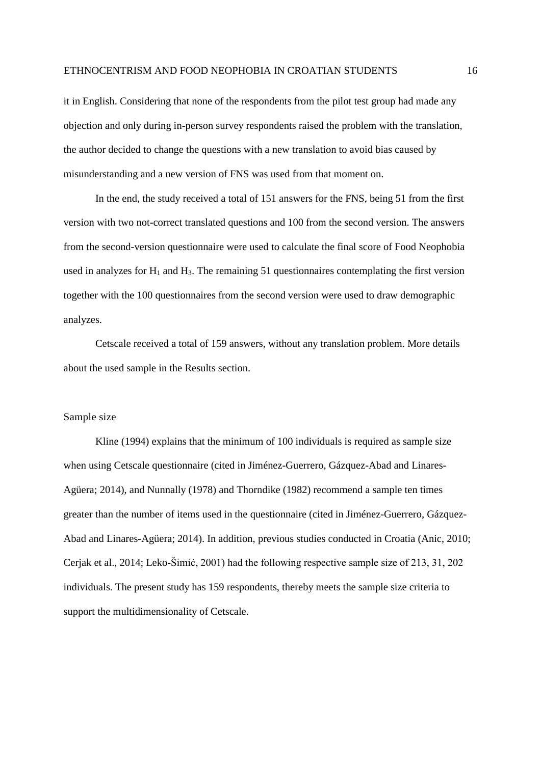it in English. Considering that none of the respondents from the pilot test group had made any objection and only during in-person survey respondents raised the problem with the translation, the author decided to change the questions with a new translation to avoid bias caused by misunderstanding and a new version of FNS was used from that moment on.

In the end, the study received a total of 151 answers for the FNS, being 51 from the first version with two not-correct translated questions and 100 from the second version. The answers from the second-version questionnaire were used to calculate the final score of Food Neophobia used in analyzes for  $H_1$  and  $H_3$ . The remaining 51 questionnaires contemplating the first version together with the 100 questionnaires from the second version were used to draw demographic analyzes.

Cetscale received a total of 159 answers, without any translation problem. More details about the used sample in the Results section.

#### Sample size

Kline (1994) explains that the minimum of 100 individuals is required as sample size when using Cetscale questionnaire (cited in Jiménez-Guerrero, Gázquez-Abad and Linares-Agüera; 2014), and Nunnally (1978) and Thorndike (1982) recommend a sample ten times greater than the number of items used in the questionnaire (cited in Jiménez-Guerrero, Gázquez-Abad and Linares-Agüera; 2014). In addition, previous studies conducted in Croatia (Anic, 2010; Cerjak et al., 2014; Leko-Šimić, 2001) had the following respective sample size of 213, 31, 202 individuals. The present study has 159 respondents, thereby meets the sample size criteria to support the multidimensionality of Cetscale.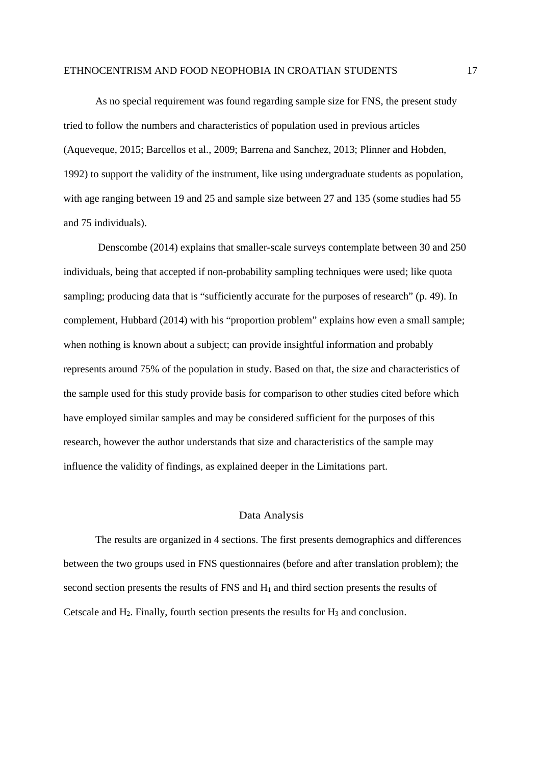As no special requirement was found regarding sample size for FNS, the present study tried to follow the numbers and characteristics of population used in previous articles (Aqueveque, 2015; Barcellos et al., 2009; Barrena and Sanchez, 2013; Plinner and Hobden, 1992) to support the validity of the instrument, like using undergraduate students as population, with age ranging between 19 and 25 and sample size between 27 and 135 (some studies had 55 and 75 individuals).

Denscombe (2014) explains that smaller-scale surveys contemplate between 30 and 250 individuals, being that accepted if non-probability sampling techniques were used; like quota sampling; producing data that is "sufficiently accurate for the purposes of research" (p. 49). In complement, Hubbard (2014) with his "proportion problem" explains how even a small sample; when nothing is known about a subject; can provide insightful information and probably represents around 75% of the population in study. Based on that, the size and characteristics of the sample used for this study provide basis for comparison to other studies cited before which have employed similar samples and may be considered sufficient for the purposes of this research, however the author understands that size and characteristics of the sample may influence the validity of findings, as explained deeper in the Limitations part.

## Data Analysis

The results are organized in 4 sections. The first presents demographics and differences between the two groups used in FNS questionnaires (before and after translation problem); the second section presents the results of FNS and  $H_1$  and third section presents the results of Cetscale and  $H_2$ . Finally, fourth section presents the results for  $H_3$  and conclusion.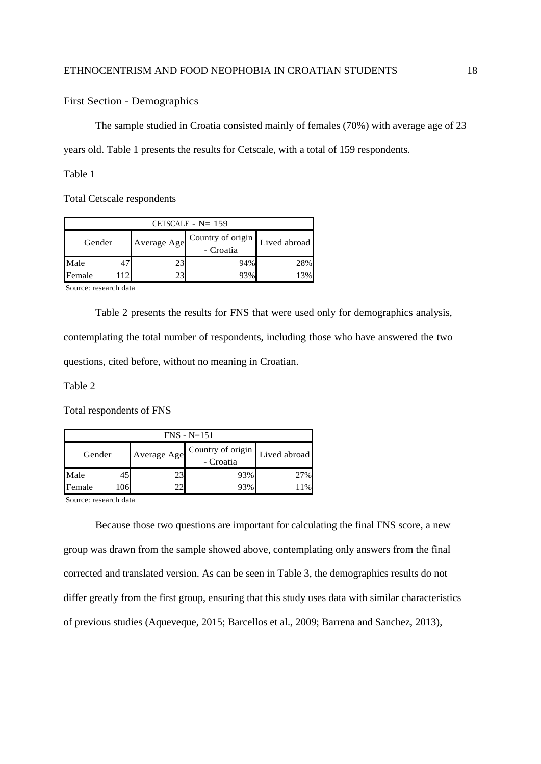First Section - Demographics

The sample studied in Croatia consisted mainly of females (70%) with average age of 23

years old. Table 1 presents the results for Cetscale, with a total of 159 respondents.

Table 1

Total Cetscale respondents

| CETSCALE $- N = 159$ |    |                                               |     |              |  |  |
|----------------------|----|-----------------------------------------------|-----|--------------|--|--|
| Gender               |    | Country of origin<br>Average Age<br>- Croatia |     | Lived abroad |  |  |
| Male                 |    | 23                                            | 94% | 28%          |  |  |
| Female               | 12 | 23                                            | 93% | 13%          |  |  |

Source: research data

Table 2 presents the results for FNS that were used only for demographics analysis, contemplating the total number of respondents, including those who have answered the two questions, cited before, without no meaning in Croatian.

Table 2

Total respondents of FNS

| $FNS - N=151$ |     |             |                                |              |  |  |
|---------------|-----|-------------|--------------------------------|--------------|--|--|
| Gender        |     | Average Age | Country of origin<br>- Croatia | Lived abroad |  |  |
| Male          | 45  | 23          | 93%                            | 27%          |  |  |
| Female        | 106 | າາ          | 93%                            | 11%          |  |  |

Source: research data

Because those two questions are important for calculating the final FNS score, a new group was drawn from the sample showed above, contemplating only answers from the final corrected and translated version. As can be seen in Table 3, the demographics results do not differ greatly from the first group, ensuring that this study uses data with similar characteristics of previous studies (Aqueveque, 2015; Barcellos et al., 2009; Barrena and Sanchez, 2013),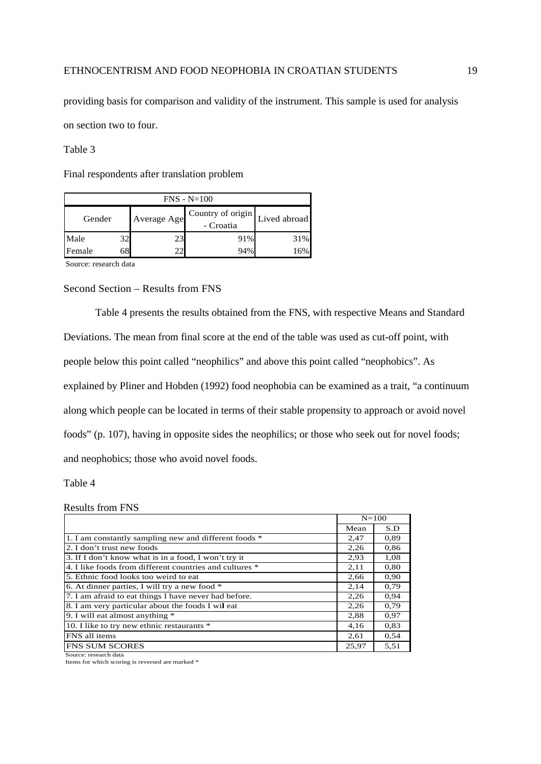providing basis for comparison and validity of the instrument. This sample is used for analysis on section two to four.

# Table 3

Final respondents after translation problem

| $FNS - N=100$ |    |             |                                |              |  |  |
|---------------|----|-------------|--------------------------------|--------------|--|--|
| Gender        |    | Average Age | Country of origin<br>- Croatia | Lived abroad |  |  |
| Male          | 32 |             | 91%                            | 31%          |  |  |
| Female        | 68 |             | 94%                            | 16%          |  |  |

Source: research data

# Second Section – Results from FNS

Table 4 presents the results obtained from the FNS, with respective Means and Standard Deviations. The mean from final score at the end of the table was used as cut-off point, with people below this point called "neophilics" and above this point called "neophobics". As explained by Pliner and Hobden (1992) food neophobia can be examined as a trait, "a continuum along which people can be located in terms of their stable propensity to approach or avoid novel foods" (p. 107), having in opposite sides the neophilics; or those who seek out for novel foods; and neophobics; those who avoid novel foods.

Table 4

#### Results from FNS

|                                                         | $N = 100$ |      |
|---------------------------------------------------------|-----------|------|
|                                                         | Mean      | S.D  |
| 1. I am constantly sampling new and different foods *   | 2,47      | 0.89 |
| 2. I don't trust new foods                              | 2,26      | 0.86 |
| 3. If I don't know what is in a food, I won't try it    | 2.93      | 1,08 |
| 4. I like foods from different countries and cultures * | 2,11      | 0.80 |
| 5. Ethnic food looks too weird to eat.                  | 2,66      | 0.90 |
| 6. At dinner parties, I will try a new food *           | 2,14      | 0.79 |
| 7. I am afraid to eat things I have never had before.   | 2,26      | 0.94 |
| 8. I am very particular about the foods I wil eat       | 2,26      | 0.79 |
| 9. I will eat almost anything *                         | 2,88      | 0.97 |
| 10. I like to try new ethnic restaurants *              | 4,16      | 0.83 |
| FNS all items                                           | 2,61      | 0.54 |
| <b>FNS SUM SCORES</b>                                   | 25,97     | 5,51 |

Source: research data

Items for which scoring is reversed are marked \*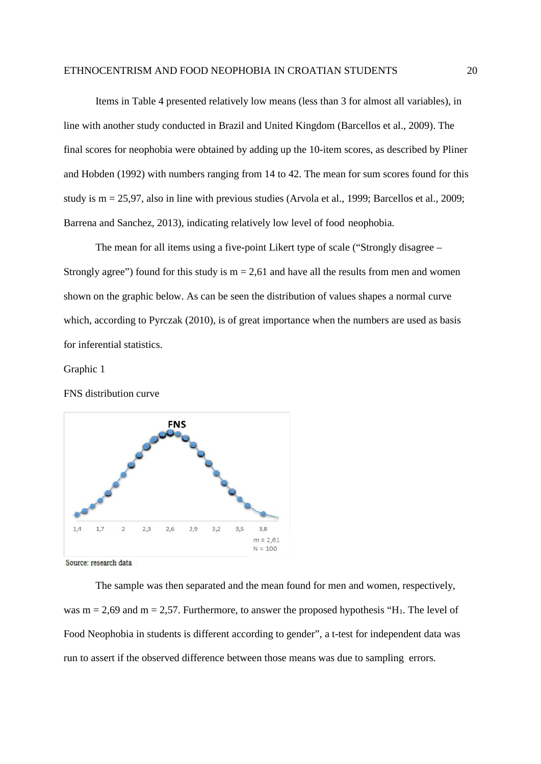Items in Table 4 presented relatively low means (less than 3 for almost all variables), in line with another study conducted in Brazil and United Kingdom (Barcellos et al., 2009). The final scores for neophobia were obtained by adding up the 10-item scores, as described by Pliner and Hobden (1992) with numbers ranging from 14 to 42. The mean for sum scores found for this study is m = 25,97, also in line with previous studies (Arvola et al., 1999; Barcellos et al., 2009; Barrena and Sanchez, 2013), indicating relatively low level of food neophobia.

The mean for all items using a five-point Likert type of scale ("Strongly disagree – Strongly agree") found for this study is  $m = 2.61$  and have all the results from men and women shown on the graphic below. As can be seen the distribution of values shapes a normal curve which, according to Pyrczak (2010), is of great importance when the numbers are used as basis for inferential statistics.

# Graphic 1

# FNS distribution curve



Source: research data

The sample was then separated and the mean found for men and women, respectively, was  $m = 2.69$  and  $m = 2.57$ . Furthermore, to answer the proposed hypothesis "H<sub>1</sub>. The level of Food Neophobia in students is different according to gender", a t-test for independent data was run to assert if the observed difference between those means was due to sampling errors.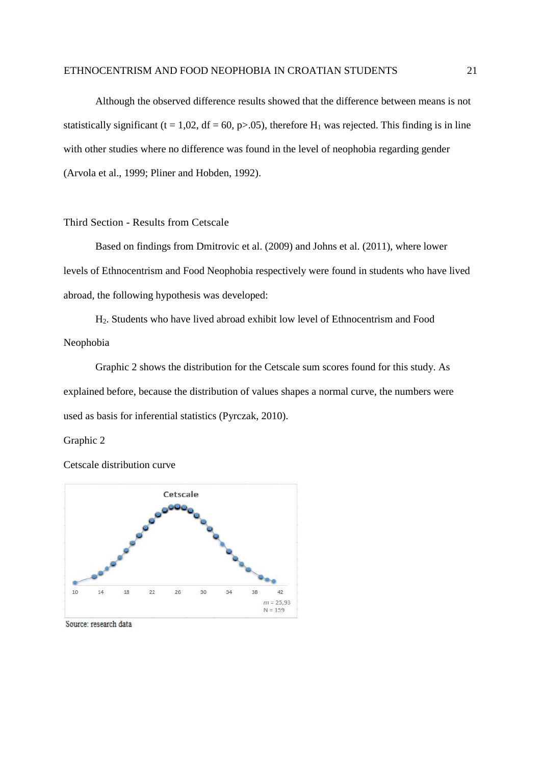Although the observed difference results showed that the difference between means is not statistically significant (t = 1,02, df = 60, p>.05), therefore  $H_1$  was rejected. This finding is in line with other studies where no difference was found in the level of neophobia regarding gender (Arvola et al., 1999; Pliner and Hobden, 1992).

#### Third Section - Results from Cetscale

Based on findings from Dmitrovic et al. (2009) and Johns et al. (2011), where lower levels of Ethnocentrism and Food Neophobia respectively were found in students who have lived abroad, the following hypothesis was developed:

H2. Students who have lived abroad exhibit low level of Ethnocentrism and Food Neophobia

Graphic 2 shows the distribution for the Cetscale sum scores found for this study. As explained before, because the distribution of values shapes a normal curve, the numbers were used as basis for inferential statistics (Pyrczak, 2010).

#### Graphic 2

Cetscale distribution curve



Source: research data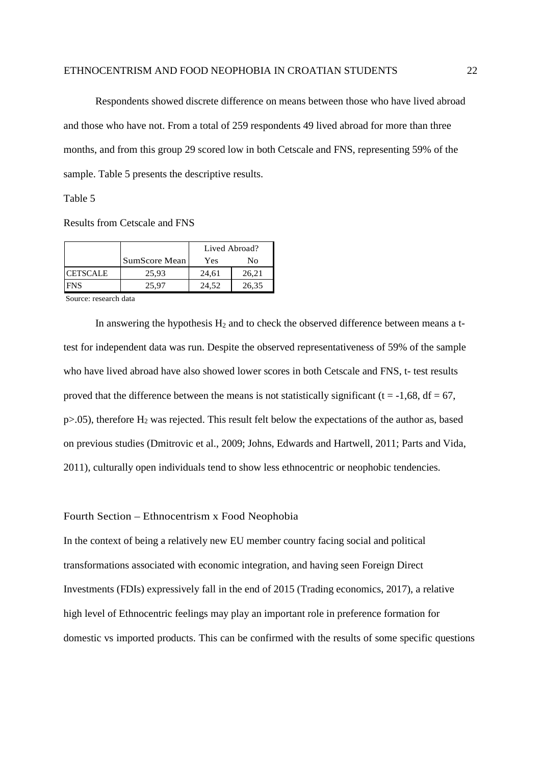Respondents showed discrete difference on means between those who have lived abroad and those who have not. From a total of 259 respondents 49 lived abroad for more than three months, and from this group 29 scored low in both Cetscale and FNS, representing 59% of the sample. Table 5 presents the descriptive results.

Table 5

Results from Cetscale and FNS

|                 |               |       | Lived Abroad? |  |
|-----------------|---------------|-------|---------------|--|
|                 | SumScore Mean | Yes   | No            |  |
| <b>CETSCALE</b> | 25.93         | 24.61 | 26.21         |  |
| FNS             | 25.97         | 24.52 | 26.35         |  |

Source: research data

In answering the hypothesis  $H_2$  and to check the observed difference between means a ttest for independent data was run. Despite the observed representativeness of 59% of the sample who have lived abroad have also showed lower scores in both Cetscale and FNS, t- test results proved that the difference between the means is not statistically significant ( $t = -1.68$ ,  $df = 67$ ,  $p>0.05$ ), therefore H<sub>2</sub> was rejected. This result felt below the expectations of the author as, based on previous studies (Dmitrovic et al., 2009; Johns, Edwards and Hartwell, 2011; Parts and Vida, 2011), culturally open individuals tend to show less ethnocentric or neophobic tendencies.

#### Fourth Section – Ethnocentrism x Food Neophobia

In the context of being a relatively new EU member country facing social and political transformations associated with economic integration, and having seen Foreign Direct Investments (FDIs) expressively fall in the end of 2015 (Trading economics, 2017), a relative high level of Ethnocentric feelings may play an important role in preference formation for domestic vs imported products. This can be confirmed with the results of some specific questions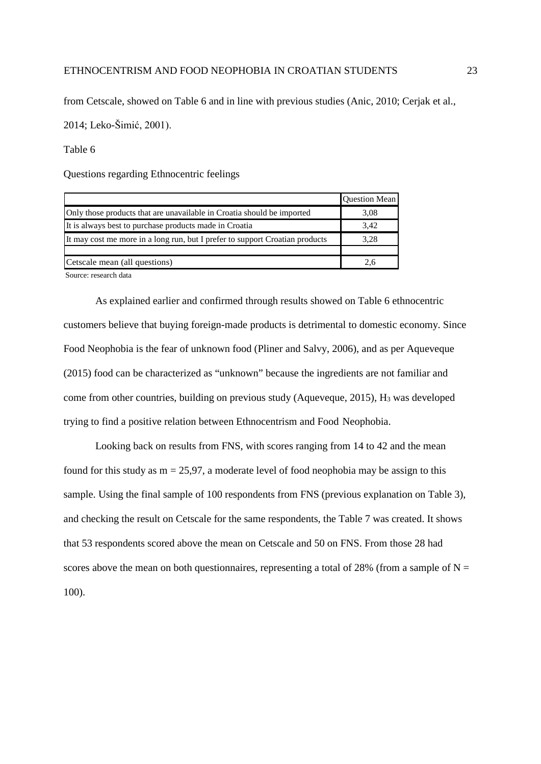from Cetscale, showed on Table 6 and in line with previous studies (Anic, 2010; Cerjak et al.,

2014; Leko-Šimić, 2001).

# Table 6

Questions regarding Ethnocentric feelings

|                                                                              | <b>Question Mean</b> |
|------------------------------------------------------------------------------|----------------------|
| Only those products that are unavailable in Croatia should be imported       | 3.08                 |
| It is always best to purchase products made in Croatia                       | 3,42                 |
| It may cost me more in a long run, but I prefer to support Croatian products | 3.28                 |
|                                                                              |                      |
| Cetscale mean (all questions)                                                | 2.6                  |

Source: research data

As explained earlier and confirmed through results showed on Table 6 ethnocentric customers believe that buying foreign-made products is detrimental to domestic economy. Since Food Neophobia is the fear of unknown food (Pliner and Salvy, 2006), and as per Aqueveque (2015) food can be characterized as "unknown" because the ingredients are not familiar and come from other countries, building on previous study (Aqueveque, 2015), H<sub>3</sub> was developed trying to find a positive relation between Ethnocentrism and Food Neophobia.

Looking back on results from FNS, with scores ranging from 14 to 42 and the mean found for this study as  $m = 25.97$ , a moderate level of food neophobia may be assign to this sample. Using the final sample of 100 respondents from FNS (previous explanation on Table 3), and checking the result on Cetscale for the same respondents, the Table 7 was created. It shows that 53 respondents scored above the mean on Cetscale and 50 on FNS. From those 28 had scores above the mean on both questionnaires, representing a total of 28% (from a sample of  $N =$ 100).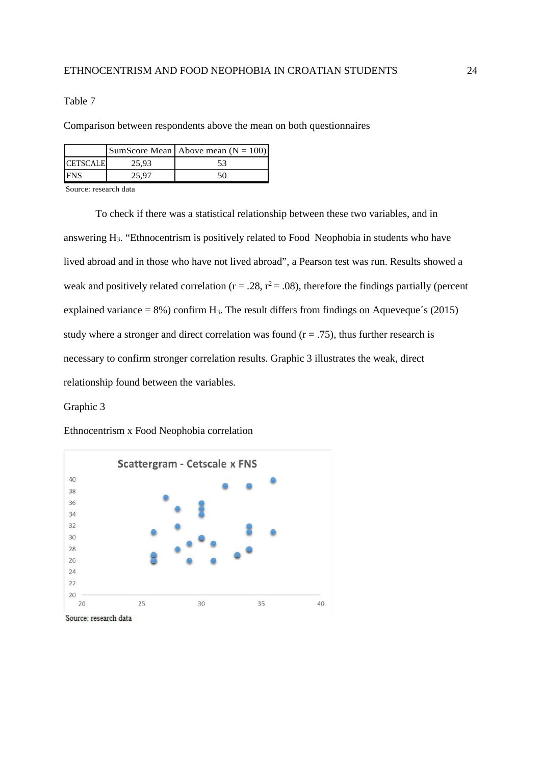Table 7

Comparison between respondents above the mean on both questionnaires

|                 |       | SumScore Mean   Above mean $(N = 100)$ |
|-----------------|-------|----------------------------------------|
| <b>CETSCALE</b> | 25.93 |                                        |
| <b>FNS</b>      |       | 50                                     |

Source: research data

To check if there was a statistical relationship between these two variables, and in answering H3. "Ethnocentrism is positively related to Food Neophobia in students who have lived abroad and in those who have not lived abroad", a Pearson test was run. Results showed a weak and positively related correlation ( $r = .28$ ,  $r^2 = .08$ ), therefore the findings partially (percent explained variance =  $8\%$ ) confirm H<sub>3</sub>. The result differs from findings on Aqueveque's (2015) study where a stronger and direct correlation was found ( $r = .75$ ), thus further research is necessary to confirm stronger correlation results. Graphic 3 illustrates the weak, direct relationship found between the variables.

Graphic 3

Ethnocentrism x Food Neophobia correlation



Source: research data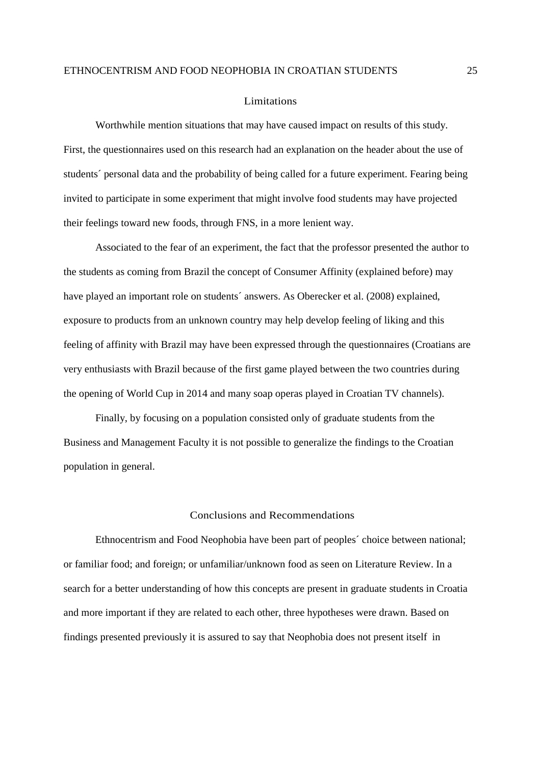#### Limitations

Worthwhile mention situations that may have caused impact on results of this study. First, the questionnaires used on this research had an explanation on the header about the use of students´ personal data and the probability of being called for a future experiment. Fearing being invited to participate in some experiment that might involve food students may have projected their feelings toward new foods, through FNS, in a more lenient way.

Associated to the fear of an experiment, the fact that the professor presented the author to the students as coming from Brazil the concept of Consumer Affinity (explained before) may have played an important role on students' answers. As Oberecker et al. (2008) explained, exposure to products from an unknown country may help develop feeling of liking and this feeling of affinity with Brazil may have been expressed through the questionnaires (Croatians are very enthusiasts with Brazil because of the first game played between the two countries during the opening of World Cup in 2014 and many soap operas played in Croatian TV channels).

Finally, by focusing on a population consisted only of graduate students from the Business and Management Faculty it is not possible to generalize the findings to the Croatian population in general.

# Conclusions and Recommendations

Ethnocentrism and Food Neophobia have been part of peoples´ choice between national; or familiar food; and foreign; or unfamiliar/unknown food as seen on Literature Review. In a search for a better understanding of how this concepts are present in graduate students in Croatia and more important if they are related to each other, three hypotheses were drawn. Based on findings presented previously it is assured to say that Neophobia does not present itself in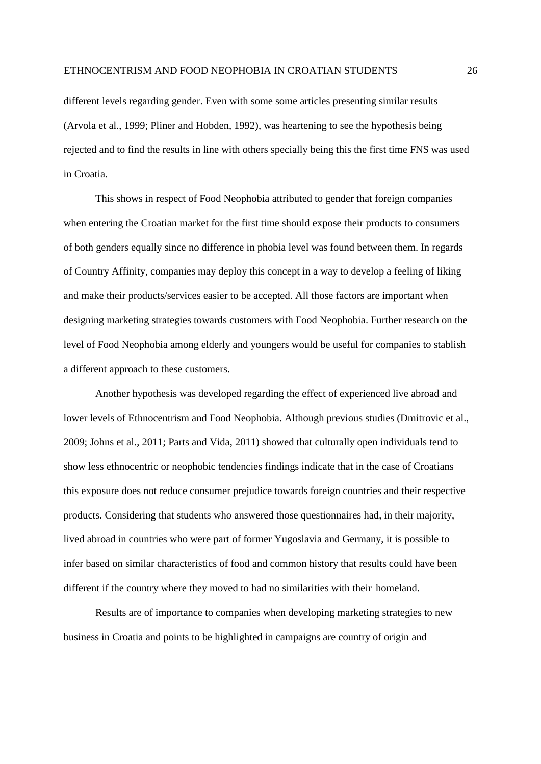different levels regarding gender. Even with some some articles presenting similar results (Arvola et al., 1999; Pliner and Hobden, 1992), was heartening to see the hypothesis being rejected and to find the results in line with others specially being this the first time FNS was used in Croatia.

This shows in respect of Food Neophobia attributed to gender that foreign companies when entering the Croatian market for the first time should expose their products to consumers of both genders equally since no difference in phobia level was found between them. In regards of Country Affinity, companies may deploy this concept in a way to develop a feeling of liking and make their products/services easier to be accepted. All those factors are important when designing marketing strategies towards customers with Food Neophobia. Further research on the level of Food Neophobia among elderly and youngers would be useful for companies to stablish a different approach to these customers.

Another hypothesis was developed regarding the effect of experienced live abroad and lower levels of Ethnocentrism and Food Neophobia. Although previous studies (Dmitrovic et al., 2009; Johns et al., 2011; Parts and Vida, 2011) showed that culturally open individuals tend to show less ethnocentric or neophobic tendencies findings indicate that in the case of Croatians this exposure does not reduce consumer prejudice towards foreign countries and their respective products. Considering that students who answered those questionnaires had, in their majority, lived abroad in countries who were part of former Yugoslavia and Germany, it is possible to infer based on similar characteristics of food and common history that results could have been different if the country where they moved to had no similarities with their homeland.

Results are of importance to companies when developing marketing strategies to new business in Croatia and points to be highlighted in campaigns are country of origin and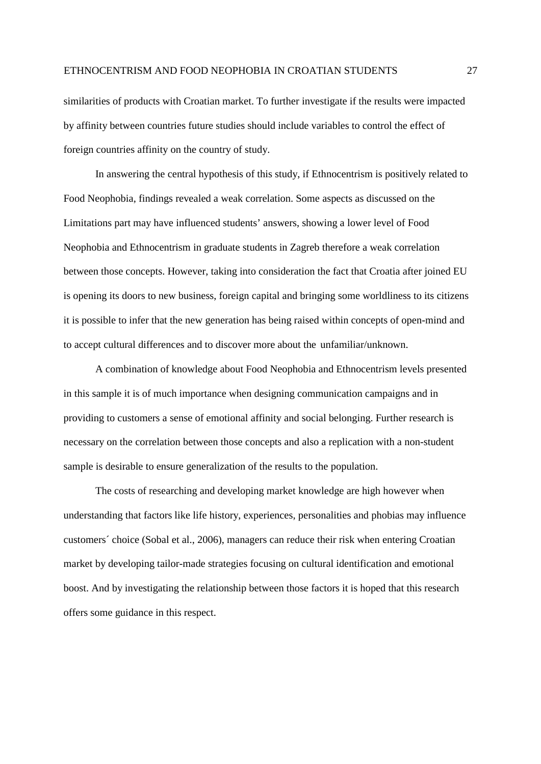similarities of products with Croatian market. To further investigate if the results were impacted by affinity between countries future studies should include variables to control the effect of foreign countries affinity on the country of study.

In answering the central hypothesis of this study, if Ethnocentrism is positively related to Food Neophobia, findings revealed a weak correlation. Some aspects as discussed on the Limitations part may have influenced students' answers, showing a lower level of Food Neophobia and Ethnocentrism in graduate students in Zagreb therefore a weak correlation between those concepts. However, taking into consideration the fact that Croatia after joined EU is opening its doors to new business, foreign capital and bringing some worldliness to its citizens it is possible to infer that the new generation has being raised within concepts of open-mind and to accept cultural differences and to discover more about the unfamiliar/unknown.

A combination of knowledge about Food Neophobia and Ethnocentrism levels presented in this sample it is of much importance when designing communication campaigns and in providing to customers a sense of emotional affinity and social belonging. Further research is necessary on the correlation between those concepts and also a replication with a non-student sample is desirable to ensure generalization of the results to the population.

The costs of researching and developing market knowledge are high however when understanding that factors like life history, experiences, personalities and phobias may influence customers´ choice (Sobal et al., 2006), managers can reduce their risk when entering Croatian market by developing tailor-made strategies focusing on cultural identification and emotional boost. And by investigating the relationship between those factors it is hoped that this research offers some guidance in this respect.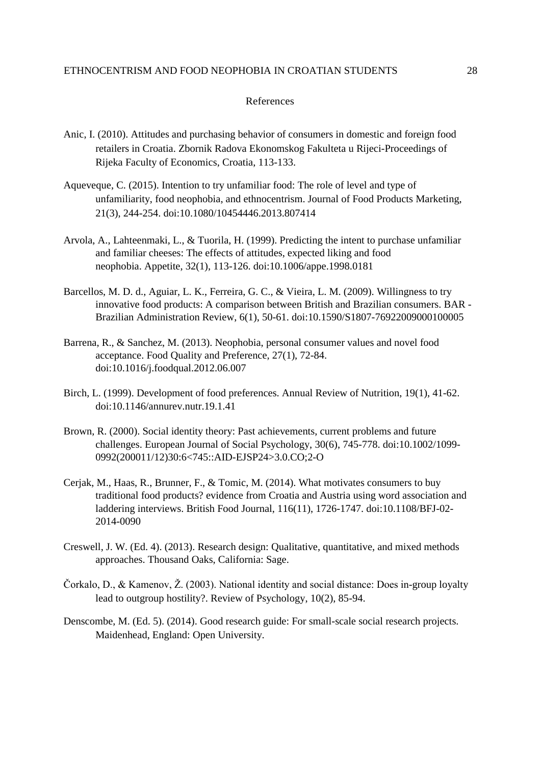#### References

- Anic, I. (2010). Attitudes and purchasing behavior of consumers in domestic and foreign food retailers in Croatia. Zbornik Radova Ekonomskog Fakulteta u Rijeci-Proceedings of Rijeka Faculty of Economics, Croatia, 113-133.
- Aqueveque, C. (2015). Intention to try unfamiliar food: The role of level and type of unfamiliarity, food neophobia, and ethnocentrism. Journal of Food Products Marketing, 21(3), 244-254. doi:10.1080/10454446.2013.807414
- Arvola, A., Lahteenmaki, L., & Tuorila, H. (1999). Predicting the intent to purchase unfamiliar and familiar cheeses: The effects of attitudes, expected liking and food neophobia. Appetite, 32(1), 113-126. doi:10.1006/appe.1998.0181
- Barcellos, M. D. d., Aguiar, L. K., Ferreira, G. C., & Vieira, L. M. (2009). Willingness to try innovative food products: A comparison between British and Brazilian consumers. BAR - Brazilian Administration Review, 6(1), 50-61. doi:10.1590/S1807-76922009000100005
- Barrena, R., & Sanchez, M. (2013). Neophobia, personal consumer values and novel food acceptance. Food Quality and Preference, 27(1), 72-84. doi:10.1016/j.foodqual.2012.06.007
- Birch, L. (1999). Development of food preferences. Annual Review of Nutrition, 19(1), 41-62. doi:10.1146/annurev.nutr.19.1.41
- Brown, R. (2000). Social identity theory: Past achievements, current problems and future challenges. European Journal of Social Psychology, 30(6), 745-778. doi:10.1002/1099- 0992(200011/12)30:6<745::AID-EJSP24>3.0.CO;2-O
- Cerjak, M., Haas, R., Brunner, F., & Tomic, M. (2014). What motivates consumers to buy traditional food products? evidence from Croatia and Austria using word association and laddering interviews. British Food Journal, 116(11), 1726-1747. doi:10.1108/BFJ-02- 2014-0090
- Creswell, J. W. (Ed. 4). (2013). Research design: Qualitative, quantitative, and mixed methods approaches. Thousand Oaks, California: Sage.
- Čorkalo, D., & Kamenov, Ž. (2003). National identity and social distance: Does in-group loyalty lead to outgroup hostility?. Review of Psychology, 10(2), 85-94.
- Denscombe, M. (Ed. 5). (2014). Good research guide: For small-scale social research projects. Maidenhead, England: Open University.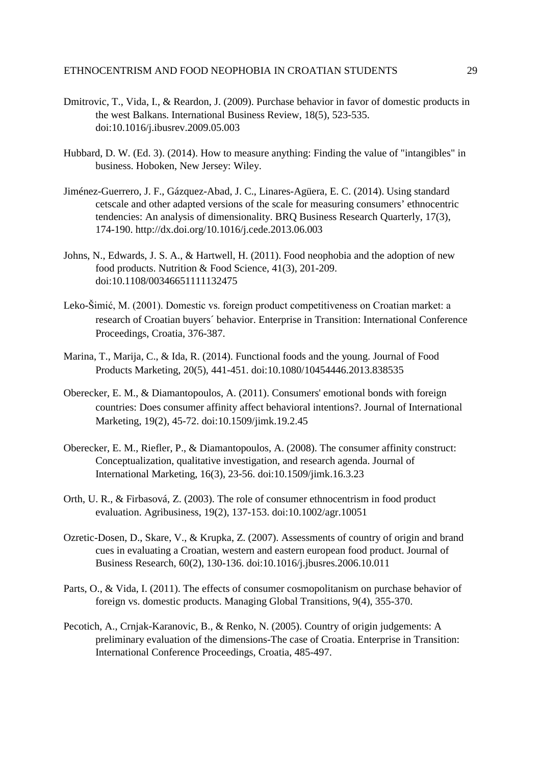- Dmitrovic, T., Vida, I., & Reardon, J. (2009). Purchase behavior in favor of domestic products in the west Balkans. International Business Review, 18(5), 523-535. doi:10.1016/j.ibusrev.2009.05.003
- Hubbard, D. W. (Ed. 3). (2014). How to measure anything: Finding the value of "intangibles" in business. Hoboken, New Jersey: Wiley.
- Jiménez-Guerrero, J. F., Gázquez-Abad, J. C., Linares-Agüera, E. C. (2014). Using standard cetscale and other adapted versions of the scale for measuring consumers' ethnocentric tendencies: An analysis of dimensionality. BRQ Business Research Quarterly, 17(3), 174-190.<http://dx.doi.org/10.1016/j.cede.2013.06.003>
- Johns, N., Edwards, J. S. A., & Hartwell, H. (2011). Food neophobia and the adoption of new food products. Nutrition & Food Science, 41(3), 201-209. doi:10.1108/00346651111132475
- Leko-Šimić, M. (2001). Domestic vs. foreign product competitiveness on Croatian market: a research of Croatian buyers´ behavior. Enterprise in Transition: International Conference Proceedings, Croatia, 376-387.
- Marina, T., Marija, C., & Ida, R. (2014). Functional foods and the young. Journal of Food Products Marketing, 20(5), 441-451. doi:10.1080/10454446.2013.838535
- Oberecker, E. M., & Diamantopoulos, A. (2011). Consumers' emotional bonds with foreign countries: Does consumer affinity affect behavioral intentions?. Journal of International Marketing, 19(2), 45-72. doi:10.1509/jimk.19.2.45
- Oberecker, E. M., Riefler, P., & Diamantopoulos, A. (2008). The consumer affinity construct: Conceptualization, qualitative investigation, and research agenda. Journal of International Marketing, 16(3), 23-56. doi:10.1509/jimk.16.3.23
- Orth, U. R., & Firbasová, Z. (2003). The role of consumer ethnocentrism in food product evaluation. Agribusiness, 19(2), 137-153. doi:10.1002/agr.10051
- Ozretic-Dosen, D., Skare, V., & Krupka, Z. (2007). Assessments of country of origin and brand cues in evaluating a Croatian, western and eastern european food product. Journal of Business Research, 60(2), 130-136. doi:10.1016/j.jbusres.2006.10.011
- Parts, O., & Vida, I. (2011). The effects of consumer cosmopolitanism on purchase behavior of foreign vs. domestic products. Managing Global Transitions, 9(4), 355-370.
- Pecotich, A., Crnjak-Karanovic, B., & Renko, N. (2005). Country of origin judgements: A preliminary evaluation of the dimensions-The case of Croatia. Enterprise in Transition: International Conference Proceedings, Croatia, 485-497.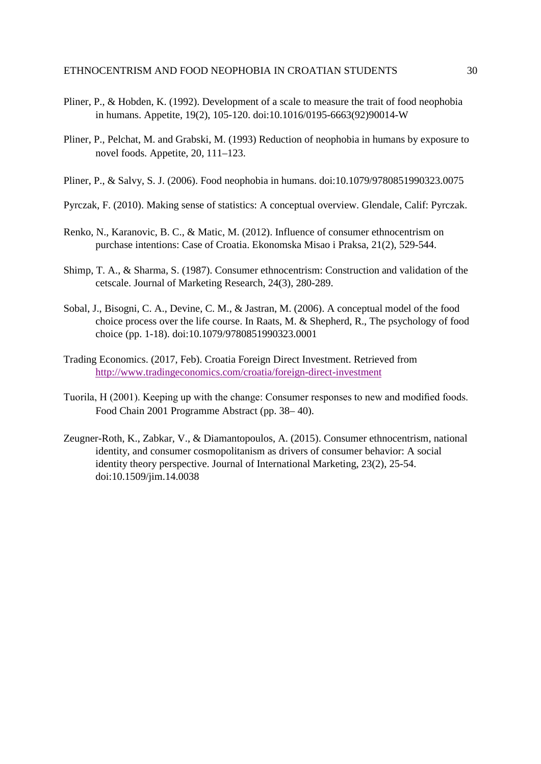- Pliner, P., & Hobden, K. (1992). Development of a scale to measure the trait of food neophobia in humans. Appetite, 19(2), 105-120. doi:10.1016/0195-6663(92)90014-W
- Pliner, P., Pelchat, M. and Grabski, M. (1993) Reduction of neophobia in humans by exposure to novel foods. Appetite, 20, 111–123.
- Pliner, P., & Salvy, S. J. (2006). Food neophobia in humans. doi:10.1079/9780851990323.0075
- Pyrczak, F. (2010). Making sense of statistics: A conceptual overview. Glendale, Calif: Pyrczak.
- Renko, N., Karanovic, B. C., & Matic, M. (2012). Influence of consumer ethnocentrism on purchase intentions: Case of Croatia. Ekonomska Misao i Praksa, 21(2), 529-544.
- Shimp, T. A., & Sharma, S. (1987). Consumer ethnocentrism: Construction and validation of the cetscale. Journal of Marketing Research, 24(3), 280-289.
- Sobal, J., Bisogni, C. A., Devine, C. M., & Jastran, M. (2006). A conceptual model of the food choice process over the life course. In Raats, M. & Shepherd, R., The psychology of food choice (pp. 1-18). doi:10.1079/9780851990323.0001
- Trading Economics. (2017, Feb). Croatia Foreign Direct Investment. Retrieved from <http://www.tradingeconomics.com/croatia/foreign-direct-investment>
- Tuorila, H (2001). Keeping up with the change: Consumer responses to new and modified foods. Food Chain 2001 Programme Abstract (pp. 38– 40).
- Zeugner-Roth, K., Zabkar, V., & Diamantopoulos, A. (2015). Consumer ethnocentrism, national identity, and consumer cosmopolitanism as drivers of consumer behavior: A social identity theory perspective. Journal of International Marketing, 23(2), 25-54. doi:10.1509/jim.14.0038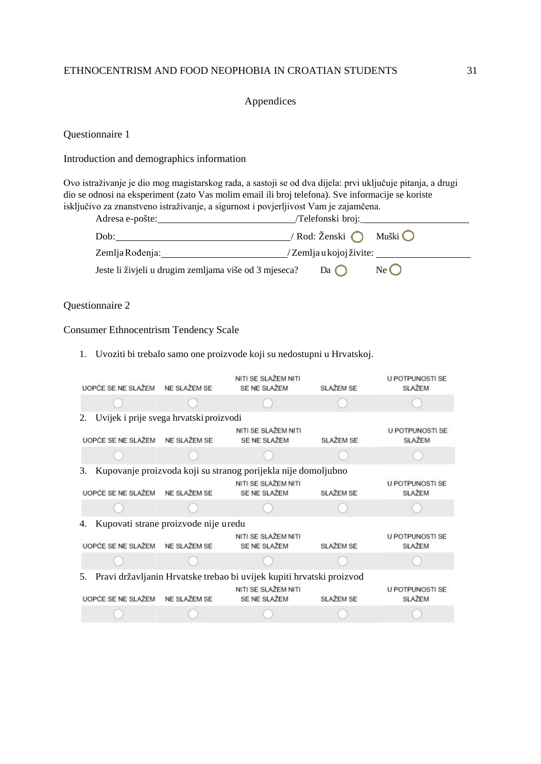# Appendices

Questionnaire 1

# Introduction and demographics information

Ovo istraživanje je dio mog magistarskog rada, a sastoji se od dva dijela: prvi uključuje pitanja, a drugi dio se odnosi na eksperiment (zato Vas molim email ili broj telefona). Sve informacije se koriste isključivo za znanstveno istraživanje, a sigurnost i povjerljivost Vam je zajamčena.

| Adresa e-pošte:                                       | /Telefonski broj:_                       |                 |
|-------------------------------------------------------|------------------------------------------|-----------------|
| Dob:                                                  | / Rod: Ženski $\bigcap$ Muški $\bigcirc$ |                 |
| Zemlja Rođenja:                                       | /Zemljau kojoj živite:                   |                 |
| Jeste li živjeli u drugim zemljama više od 3 mjeseca? | $Da$ ( )                                 | $Ne$ $\bigcirc$ |

# Questionnaire 2

# Consumer Ethnocentrism Tendency Scale

# 1. Uvoziti bi trebalo samo one proizvode koji su nedostupni u Hrvatskoj.

| UOPĆE SE NE SLAŽEM NE SLAŽEM SE               | NITI SE SLAŽEM NITI<br>SE NE SLAŽEM                                  | SLAŽEM SE | U POTPUNOSTI SE<br>SLAŽEM               |
|-----------------------------------------------|----------------------------------------------------------------------|-----------|-----------------------------------------|
|                                               |                                                                      |           |                                         |
| Uvijek i prije svega hrvatski proizvodi<br>2. |                                                                      |           |                                         |
| UOPĆE SE NE SLAŽEM NE SLAŽEM SE               | NITI SE SLAŽEM NITI<br>SE NE SLAŽEM                                  | SLAŽEM SE | <b>U POTPUNOSTI SE</b><br><b>SLAŽEM</b> |
|                                               |                                                                      |           |                                         |
| 3.                                            | Kupovanje proizvoda koji su stranog porijekla nije domoljubno        |           |                                         |
| UOPĆE SE NE SLAŽEM NE SLAŽEM SE               | NITI SE SLAŽEM NITI<br>SE NE SLAŽEM                                  | SLAŽEM SE | U POTPUNOSTI SE<br><b>SLAŽEM</b>        |
|                                               |                                                                      |           |                                         |
| Kupovati strane proizvode nije uredu<br>4.    |                                                                      |           |                                         |
| UOPĆE SE NE SLAŽEM NE SLAŽEM SE               | NITI SE SLAŽEM NITI<br>SE NE SLAŽEM                                  | SLAŽEM SE | U POTPUNOSTI SE<br>SLAŽEM               |
|                                               |                                                                      |           |                                         |
| 5.                                            | Pravi državljanin Hrvatske trebao bi uvijek kupiti hrvatski proizvod |           |                                         |
| UOPĆE SE NE SLAŽEM NE SLAŽEM SE               | NITI SE SLAŽEM NITI<br>SE NE SLAŽEM                                  | SLAŽEM SE | U POTPUNOSTI SE<br><b>SLAŽEM</b>        |
|                                               |                                                                      |           |                                         |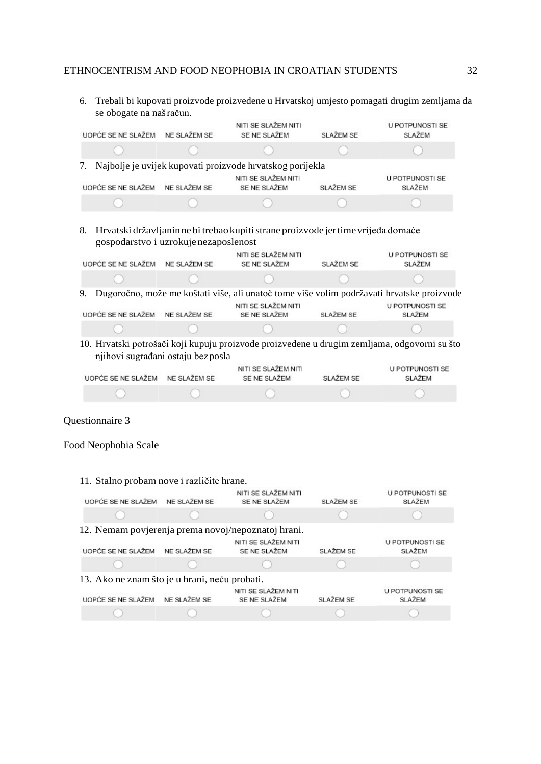6. Trebali bi kupovati proizvode proizvedene u Hrvatskoj umjesto pomagati drugim zemljama da se obogate na našračun.

| UOPĆE SE NE SLAŽEM        | NE SLAŽEM SE | NITI SE SLAŽEM NITI<br>SE NE SLAŽEM                          | SLAŽEM SE | U POTPUNOSTI SE<br>SLAŽEM |
|---------------------------|--------------|--------------------------------------------------------------|-----------|---------------------------|
|                           |              |                                                              |           |                           |
|                           |              | 7. Najbolje je uvijek kupovati proizvode hrvatskog porijekla |           |                           |
| <b>UOPĆE SE NE SLAŽEM</b> | NE SLAŽEM SE | NITI SE SLAŽEM NITI<br>SE NE SLAŽEM                          | SLAŽEM SE | U POTPUNOSTI SE<br>SLAŽEM |
|                           |              |                                                              |           |                           |

8. Hrvatski državljanin ne bi trebao kupiti strane proizvode jer time vrijeđa domaće gospodarstvo i uzrokujenezaposlenost

| UOPĆE SE NE SLAŽEM                 | NE SLAŽEM SE | NITI SE SLAŽEM NITI<br>SE NE SLAŽEM | SLAŽEM SE | U POTPUNOSTI SE<br><b>SLAŽEM</b>                                                             |
|------------------------------------|--------------|-------------------------------------|-----------|----------------------------------------------------------------------------------------------|
|                                    |              |                                     |           |                                                                                              |
| 9.                                 |              |                                     |           | Dugoročno, može me koštati više, ali unatoč tome više volim podržavati hrvatske proizvode    |
| UOPĆE SE NE SLAŽEM                 | NE SLAŽEM SE | NITI SE SLAŽEM NITI<br>SE NE SLAŽEM | SLAŽEM SE | <b>U POTPUNOSTI SE</b><br>SLAŽEM                                                             |
|                                    |              |                                     |           |                                                                                              |
| njihovi sugrađani ostaju bez posla |              |                                     |           | 10. Hrvatski potrošači koji kupuju proizvode proizvedene u drugim zemljama, odgovorni su što |
| UOPĆE SE NE SLAŽEM                 | NE SLAŽEM SE | NITI SE SLAŽEM NITI<br>SE NE SLAŽEM | SLAŽEM SE | <b>U POTPUNOSTI SE</b><br>SLAŽEM                                                             |
| the property of the control of     |              |                                     |           | and the property of the                                                                      |

## Questionnaire 3

Food Neophobia Scale

11. Stalno probam nove i različite hrane. NITI SE SLAŽEM NITI U POTPUNOSTI SE UOPĆE SE NE SLAŽEM NE SLAŽEM SE SE NE SLAŽEM SLAŽEM SE SLAŽEM 12. Nemam povjerenja prema novoj/nepoznatoj hrani. U POTPUNOSTI SE UOPĆE SE NE SLAŽEM NE SLAŽEM SE SE NE SLAŽEM SLAŽEM SE SLAŽEM 13. Ako ne znam što je u hrani, neću probati.NITI SE SLAŽEM NITI U POTPUNOSTI SE UOPĆE SE NE SLAŽEM NE SLAŽEM SE SE NE SLAŽEM SLAŽEM SE SLAŽEM